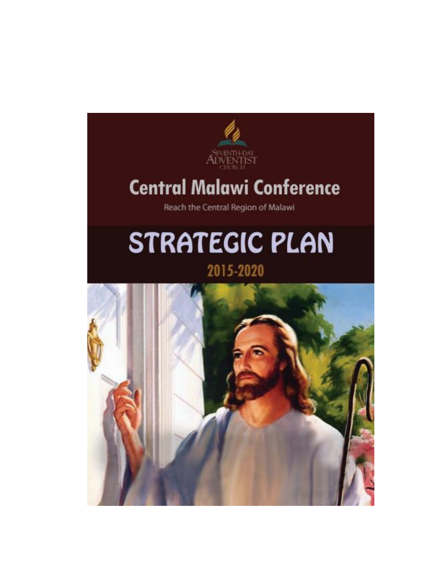

# **Central Malawi Conference**

Reach the Central Region of Malawi

# **STRATEGIC PLAN**

# 2015-2020

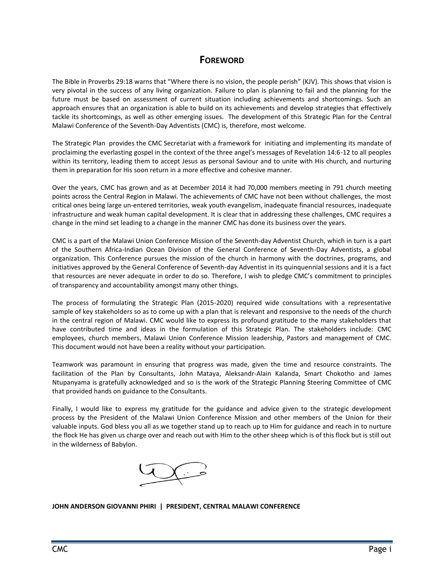#### **FOREWORD**

The Bible in Proverbs 29:18 warns that "Where there is no vision, the people perish" (KJV). This shows that vision is very pivotal in the success of any living organization. Failure to plan is planning to fail and the planning for the future must be based on assessment of current situation including achievements and shortcomings. Such an approach ensures that an organization is able to build on its achievements and develop strategies that effectively tackle its shortcomings, as well as other emerging issues. The development of this Strategic Plan for the Central Malawi Conference of the Seventh-Day Adventists (CMC) is, therefore, most welcome.

The Strategic Plan provides the CMC Secretariat with a framework for initiating and implementing its mandate of proclaiming the everlasting gospel in the context of the three angel's messages of Revelation 14:6-12 to all peoples within its territory, leading them to accept Jesus as personal Saviour and to unite with His church, and nurturing them in preparation for His soon return in a more effective and cohesive manner.

Over the years, CMC has grown and as at December 2014 it had 70,000 members meeting in 791 church meeting points across the Central Region in Malawi. The achievements of CMC have not been without challenges, the most critical ones being large un-entered territories, weak youth evangelism, inadequate financial resources, inadequate infrastructure and weak human capital development. It is clear that in addressing these challenges, CMC requires a change in the mind set leading to a change in the manner CMC has done its business over the years.

CMC is a part of the Malawi Union Conference Mission of the Seventh-day Adventist Church, which in turn is a part of the Southern Africa-Indian Ocean Division of the General Conference of Seventh-Day Adventists, a global organization. This Conference pursues the mission of the church in harmony with the doctrines, programs, and initiatives approved by the General Conference of Seventh-day Adventist in its quinquennial sessions and it is a fact that resources are never adequate in order to do so. Therefore, I wish to pledge CMC's commitment to principles of transparency and accountability amongst many other things.

The process of formulating the Strategic Plan (2015-2020) required wide consultations with a representative sample of key stakeholders so as to come up with a plan that is relevant and responsive to the needs of the church in the central region of Malawi. CMC would like to express its profound gratitude to the many stakeholders that have contributed time and ideas in the formulation of this Strategic Plan. The stakeholders include: CMC employees, church members, Malawi Union Conference Mission leadership, Pastors and management of CMC. This document would not have been a reality without your participation.

Teamwork was paramount in ensuring that progress was made, given the time and resource constraints. The facilitation of the Plan by Consultants, John Mataya, Aleksandr-Alain Kalanda, Smart Chokotho and James Ntupanyama is gratefully acknowledged and so is the work of the Strategic Planning Steering Committee of CMC that provided hands on guidance to the Consultants.

Finally, I would like to express my gratitude for the guidance and advice given to the strategic development process by the President of the Malawi Union Conference Mission and other members of the Union for their valuable inputs. God bless you all as we together stand up to reach up to Him for guidance and reach in to nurture the flock He has given us charge over and reach out with Him to the other sheep which is of this flock but is still out in the wilderness of Babylon.



**JOHN ANDERSON GIOVANNI PHIRI | PRESIDENT, CENTRAL MALAWI CONFERENCE**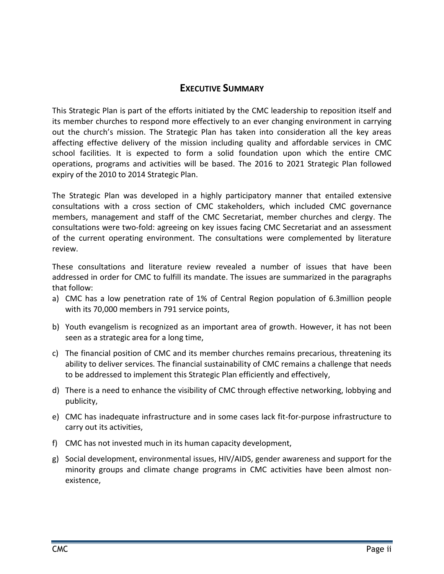#### **EXECUTIVE SUMMARY**

This Strategic Plan is part of the efforts initiated by the CMC leadership to reposition itself and its member churches to respond more effectively to an ever changing environment in carrying out the church's mission. The Strategic Plan has taken into consideration all the key areas affecting effective delivery of the mission including quality and affordable services in CMC school facilities. It is expected to form a solid foundation upon which the entire CMC operations, programs and activities will be based. The 2016 to 2021 Strategic Plan followed expiry of the 2010 to 2014 Strategic Plan.

The Strategic Plan was developed in a highly participatory manner that entailed extensive consultations with a cross section of CMC stakeholders, which included CMC governance members, management and staff of the CMC Secretariat, member churches and clergy. The consultations were two-fold: agreeing on key issues facing CMC Secretariat and an assessment of the current operating environment. The consultations were complemented by literature review.

These consultations and literature review revealed a number of issues that have been addressed in order for CMC to fulfill its mandate. The issues are summarized in the paragraphs that follow:

- a) CMC has a low penetration rate of 1% of Central Region population of 6.3million people with its 70,000 members in 791 service points,
- b) Youth evangelism is recognized as an important area of growth. However, it has not been seen as a strategic area for a long time,
- c) The financial position of CMC and its member churches remains precarious, threatening its ability to deliver services. The financial sustainability of CMC remains a challenge that needs to be addressed to implement this Strategic Plan efficiently and effectively,
- d) There is a need to enhance the visibility of CMC through effective networking, lobbying and publicity,
- e) CMC has inadequate infrastructure and in some cases lack fit-for-purpose infrastructure to carry out its activities,
- f) CMC has not invested much in its human capacity development,
- g) Social development, environmental issues, HIV/AIDS, gender awareness and support for the minority groups and climate change programs in CMC activities have been almost nonexistence,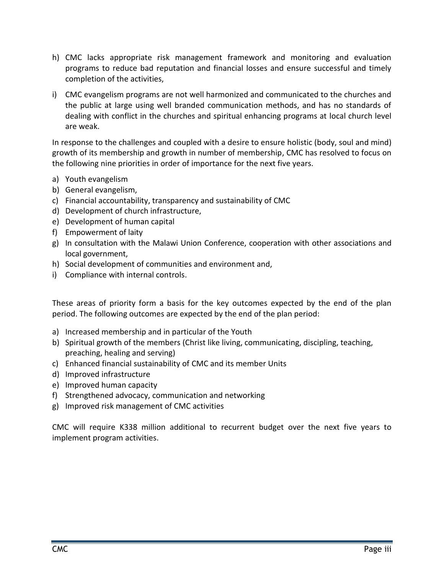- h) CMC lacks appropriate risk management framework and monitoring and evaluation programs to reduce bad reputation and financial losses and ensure successful and timely completion of the activities,
- i) CMC evangelism programs are not well harmonized and communicated to the churches and the public at large using well branded communication methods, and has no standards of dealing with conflict in the churches and spiritual enhancing programs at local church level are weak.

In response to the challenges and coupled with a desire to ensure holistic (body, soul and mind) growth of its membership and growth in number of membership, CMC has resolved to focus on the following nine priorities in order of importance for the next five years.

- a) Youth evangelism
- b) General evangelism,
- c) Financial accountability, transparency and sustainability of CMC
- d) Development of church infrastructure,
- e) Development of human capital
- f) Empowerment of laity
- g) In consultation with the Malawi Union Conference, cooperation with other associations and local government,
- h) Social development of communities and environment and,
- i) Compliance with internal controls.

These areas of priority form a basis for the key outcomes expected by the end of the plan period. The following outcomes are expected by the end of the plan period:

- a) Increased membership and in particular of the Youth
- b) Spiritual growth of the members (Christ like living, communicating, discipling, teaching, preaching, healing and serving)
- c) Enhanced financial sustainability of CMC and its member Units
- d) Improved infrastructure
- e) Improved human capacity
- f) Strengthened advocacy, communication and networking
- g) Improved risk management of CMC activities

CMC will require K338 million additional to recurrent budget over the next five years to implement program activities.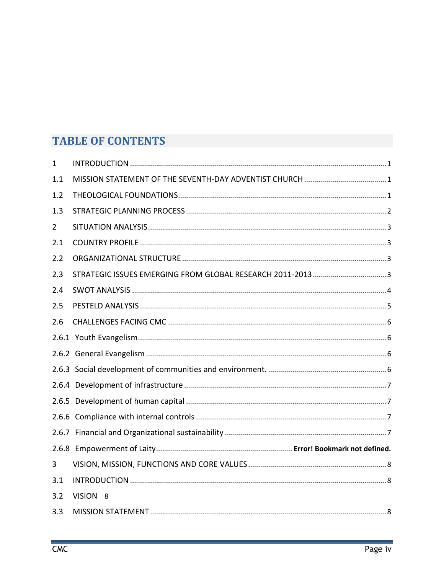# **TABLE OF CONTENTS**

| $\mathbf{1}$   |          |
|----------------|----------|
| 1.1            |          |
| 1.2            |          |
| 1.3            |          |
| $\overline{2}$ |          |
| 2.1            |          |
| 2.2            |          |
| 2.3            |          |
| 2.4            |          |
| 2.5            |          |
| 2.6            |          |
|                |          |
|                |          |
|                |          |
|                |          |
|                |          |
|                |          |
|                |          |
|                |          |
| 3              |          |
| 3.1            |          |
| 3.2            | VISION 8 |
| 3.3            |          |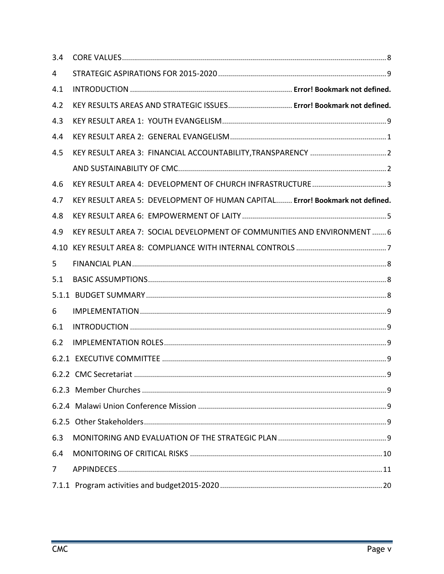| 3.4            |                                                                              |
|----------------|------------------------------------------------------------------------------|
| 4              |                                                                              |
| 4.1            |                                                                              |
| 4.2            | KEY RESULTS AREAS AND STRATEGIC ISSUES Error! Bookmark not defined.          |
| 4.3            |                                                                              |
| 4.4            |                                                                              |
| 4.5            |                                                                              |
|                |                                                                              |
| 4.6            | KEY RESULT AREA 4: DEVELOPMENT OF CHURCH INFRASTRUCTURE3                     |
| 4.7            | KEY RESULT AREA 5: DEVELOPMENT OF HUMAN CAPITAL Error! Bookmark not defined. |
| 4.8            |                                                                              |
| 4.9            | KEY RESULT AREA 7: SOCIAL DEVELOPMENT OF COMMUNITIES AND ENVIRONMENT  6      |
| 4.10           |                                                                              |
| 5              |                                                                              |
| 5.1            |                                                                              |
|                |                                                                              |
| 6              |                                                                              |
| 6.1            |                                                                              |
| 6.2            |                                                                              |
|                |                                                                              |
|                |                                                                              |
|                |                                                                              |
|                |                                                                              |
|                |                                                                              |
| 6.3            |                                                                              |
| 6.4            |                                                                              |
| $\overline{7}$ |                                                                              |
|                |                                                                              |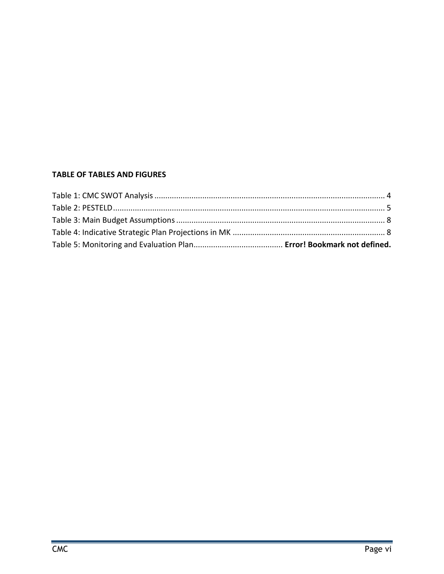#### **TABLE OF TABLES AND FIGURES**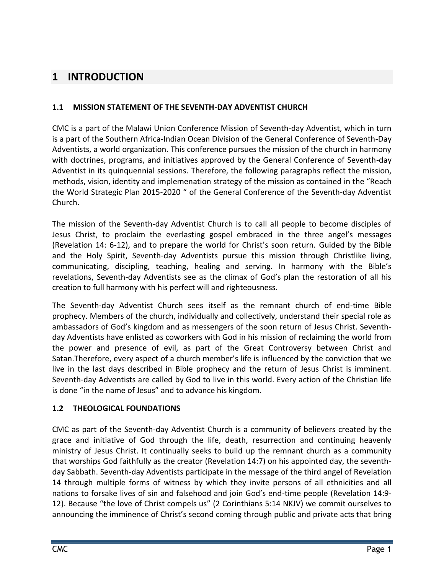# <span id="page-7-0"></span>**1 INTRODUCTION**

#### <span id="page-7-1"></span>**1.1 MISSION STATEMENT OF THE SEVENTH-DAY ADVENTIST CHURCH**

CMC is a part of the Malawi Union Conference Mission of Seventh-day Adventist, which in turn is a part of the Southern Africa-Indian Ocean Division of the General Conference of Seventh-Day Adventists, a world organization. This conference pursues the mission of the church in harmony with doctrines, programs, and initiatives approved by the General Conference of Seventh-day Adventist in its quinquennial sessions. Therefore, the following paragraphs reflect the mission, methods, vision, identity and implemenation strategy of the mission as contained in the "Reach the World Strategic Plan 2015-2020 " of the General Conference of the Seventh-day Adventist Church.

The mission of the Seventh-day Adventist Church is to call all people to become disciples of Jesus Christ, to proclaim the everlasting gospel embraced in the three angel's messages (Revelation 14: 6-12), and to prepare the world for Christ's soon return. Guided by the Bible and the Holy Spirit, Seventh-day Adventists pursue this mission through Christlike living, communicating, discipling, teaching, healing and serving. In harmony with the Bible's revelations, Seventh-day Adventists see as the climax of God's plan the restoration of all his creation to full harmony with his perfect will and righteousness.

The Seventh-day Adventist Church sees itself as the remnant church of end-time Bible prophecy. Members of the church, individually and collectively, understand their special role as ambassadors of God's kingdom and as messengers of the soon return of Jesus Christ. Seventhday Adventists have enlisted as coworkers with God in his mission of reclaiming the world from the power and presence of evil, as part of the Great Controversy between Christ and Satan.Therefore, every aspect of a church member's life is influenced by the conviction that we live in the last days described in Bible prophecy and the return of Jesus Christ is imminent. Seventh-day Adventists are called by God to live in this world. Every action of the Christian life is done "in the name of Jesus" and to advance his kingdom.

#### <span id="page-7-2"></span>**1.2 THEOLOGICAL FOUNDATIONS**

CMC as part of the Seventh-day Adventist Church is a community of believers created by the grace and initiative of God through the life, death, resurrection and continuing heavenly ministry of Jesus Christ. It continually seeks to build up the remnant church as a community that worships God faithfully as the creator (Revelation 14:7) on his appointed day, the seventhday Sabbath. Seventh-day Adventists participate in the message of the third angel of Revelation 14 through multiple forms of witness by which they invite persons of all ethnicities and all nations to forsake lives of sin and falsehood and join God's end-time people (Revelation 14:9- 12). Because "the love of Christ compels us" (2 Corinthians 5:14 NKJV) we commit ourselves to announcing the imminence of Christ's second coming through public and private acts that bring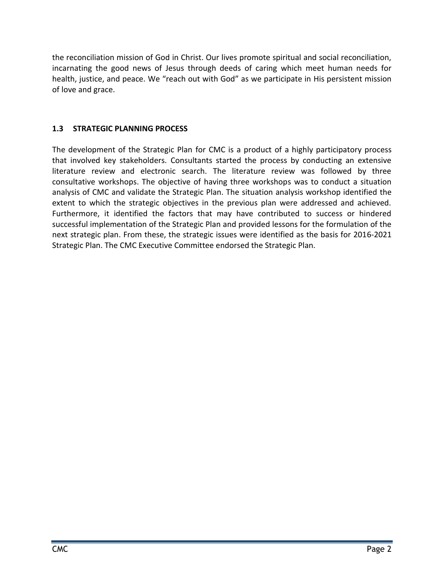the reconciliation mission of God in Christ. Our lives promote spiritual and social reconciliation, incarnating the good news of Jesus through deeds of caring which meet human needs for health, justice, and peace. We "reach out with God" as we participate in His persistent mission of love and grace.

#### <span id="page-8-0"></span>**1.3 STRATEGIC PLANNING PROCESS**

The development of the Strategic Plan for CMC is a product of a highly participatory process that involved key stakeholders. Consultants started the process by conducting an extensive literature review and electronic search. The literature review was followed by three consultative workshops. The objective of having three workshops was to conduct a situation analysis of CMC and validate the Strategic Plan. The situation analysis workshop identified the extent to which the strategic objectives in the previous plan were addressed and achieved. Furthermore, it identified the factors that may have contributed to success or hindered successful implementation of the Strategic Plan and provided lessons for the formulation of the next strategic plan. From these, the strategic issues were identified as the basis for 2016-2021 Strategic Plan. The CMC Executive Committee endorsed the Strategic Plan.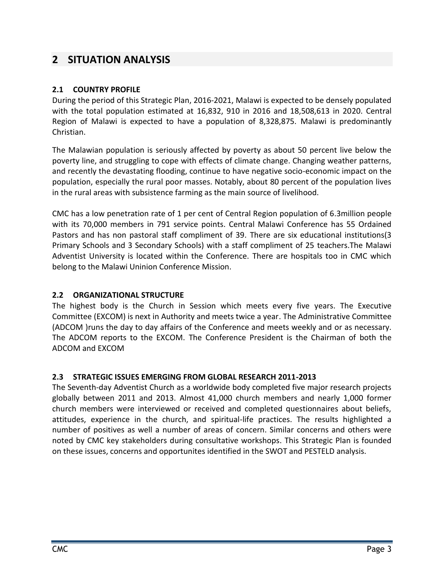## <span id="page-9-0"></span>**2 SITUATION ANALYSIS**

#### <span id="page-9-1"></span>**2.1 COUNTRY PROFILE**

During the period of this Strategic Plan, 2016-2021, Malawi is expected to be densely populated with the total population estimated at 16,832, 910 in 2016 and 18,508,613 in 2020. Central Region of Malawi is expected to have a population of 8,328,875. Malawi is predominantly Christian.

The Malawian population is seriously affected by poverty as about 50 percent live below the poverty line, and struggling to cope with effects of climate change. Changing weather patterns, and recently the devastating flooding, continue to have negative socio-economic impact on the population, especially the rural poor masses. Notably, about 80 percent of the population lives in the rural areas with subsistence farming as the main source of livelihood.

CMC has a low penetration rate of 1 per cent of Central Region population of 6.3million people with its 70,000 members in 791 service points. Central Malawi Conference has 55 Ordained Pastors and has non pastoral staff compliment of 39. There are six educational institutions(3 Primary Schools and 3 Secondary Schools) with a staff compliment of 25 teachers.The Malawi Adventist University is located within the Conference. There are hospitals too in CMC which belong to the Malawi Uninion Conference Mission.

#### <span id="page-9-2"></span>**2.2 ORGANIZATIONAL STRUCTURE**

The highest body is the Church in Session which meets every five years. The Executive Committee (EXCOM) is next in Authority and meets twice a year. The Administrative Committee (ADCOM )runs the day to day affairs of the Conference and meets weekly and or as necessary. The ADCOM reports to the EXCOM. The Conference President is the Chairman of both the ADCOM and EXCOM

#### <span id="page-9-3"></span>**2.3 STRATEGIC ISSUES EMERGING FROM GLOBAL RESEARCH 2011-2013**

The Seventh-day Adventist Church as a worldwide body completed five major research projects globally between 2011 and 2013. Almost 41,000 church members and nearly 1,000 former church members were interviewed or received and completed questionnaires about beliefs, attitudes, experience in the church, and spiritual-life practices. The results highlighted a number of positives as well a number of areas of concern. Similar concerns and others were noted by CMC key stakeholders during consultative workshops. This Strategic Plan is founded on these issues, concerns and opportunites identified in the SWOT and PESTELD analysis.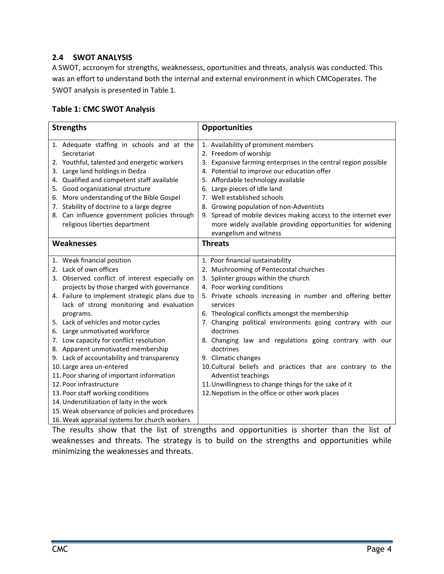#### <span id="page-10-0"></span>**2.4 SWOT ANALYSIS**

A SWOT, accronym for strengths, weaknessess, oportunities and threats, analysis was conducted. This was an effort to understand both the internal and external environment in which CMCoperates. The SWOT analysis is presented in Table 1.

#### <span id="page-10-1"></span>**Table 1: CMC SWOT Analysis**

| <b>Strengths</b>                               | <b>Opportunities</b>                                            |
|------------------------------------------------|-----------------------------------------------------------------|
| 1. Adequate staffing in schools and at the     | 1. Availability of prominent members                            |
| Secretariat                                    | 2. Freedom of worship                                           |
| 2. Youthful, talented and energetic workers    | 3. Expansive farming enterprises in the central region possible |
| 3. Large land holdings in Dedza                | 4. Potential to improve our education offer                     |
| 4. Qualified and competent staff available     | 5. Affordable technology available                              |
| 5. Good organizational structure               | 6. Large pieces of idle land                                    |
| 6. More understanding of the Bible Gospel      | 7. Well established schools                                     |
| 7. Stability of doctrine to a large degree     | 8. Growing population of non-Adventists                         |
| 8. Can influence government policies through   | 9. Spread of mobile devices making access to the internet ever  |
| religious liberties department                 | more widely available providing opportunities for widening      |
|                                                | evangelism and witness                                          |
| <b>Weaknesses</b>                              | <b>Threats</b>                                                  |
| 1. Weak financial position                     | 1. Poor financial sustainability                                |
| 2. Lack of own offices                         | 2. Mushrooming of Pentecostal churches                          |
| 3. Observed conflict of interest especially on | 3. Splinter groups within the church                            |
| projects by those charged with governance      | 4. Poor working conditions                                      |
| 4. Failure to implement strategic plans due to | 5. Private schools increasing in number and offering better     |
| lack of strong monitoring and evaluation       | services                                                        |
| programs.                                      | 6. Theological conflicts amongst the membership                 |
| 5. Lack of vehicles and motor cycles           | 7. Changing political environments going contrary with our      |
| 6. Large unmotivated workforce                 | doctrines                                                       |
| 7. Low capacity for conflict resolution        | 8. Changing law and regulations going contrary with our         |
| 8. Apparent unmotivated membership             | doctrines                                                       |
| 9. Lack of accountability and transparency     | 9. Climatic changes                                             |
| 10. Large area un-entered                      | 10. Cultural beliefs and practices that are contrary to the     |
| 11. Poor sharing of important information      | Adventist teachings                                             |
| 12. Poor infrastructure                        | 11. Unwillingness to change things for the sake of it           |
| 13. Poor staff working conditions              | 12. Nepotism in the office or other work places                 |
| 14. Underutilization of laity in the work      |                                                                 |
| 15. Weak observance of policies and procedures |                                                                 |
| 16. Weak appraisal systems for church workers  |                                                                 |

The results show that the list of strengths and opportunities is shorter than the list of weaknesses and threats. The strategy is to build on the strengths and opportunities while minimizing the weaknesses and threats.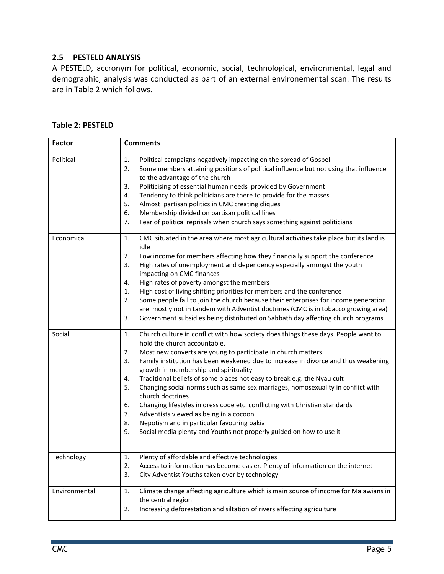#### <span id="page-11-0"></span>**2.5 PESTELD ANALYSIS**

A PESTELD, accronym for political, economic, social, technological, environmental, legal and demographic, analysis was conducted as part of an external environemental scan. The results are in Table 2 which follows.

#### <span id="page-11-1"></span>**Table 2: PESTELD**

| <b>Factor</b> | <b>Comments</b>                                                                                                                                                                                                                                                                                                                                                                                                                                                                                                                                                                                                                                                                                                                                                                                          |
|---------------|----------------------------------------------------------------------------------------------------------------------------------------------------------------------------------------------------------------------------------------------------------------------------------------------------------------------------------------------------------------------------------------------------------------------------------------------------------------------------------------------------------------------------------------------------------------------------------------------------------------------------------------------------------------------------------------------------------------------------------------------------------------------------------------------------------|
| Political     | 1.<br>Political campaigns negatively impacting on the spread of Gospel<br>2.<br>Some members attaining positions of political influence but not using that influence<br>to the advantage of the church<br>Politicising of essential human needs provided by Government<br>3.<br>Tendency to think politicians are there to provide for the masses<br>4.<br>Almost partisan politics in CMC creating cliques<br>5.<br>6.<br>Membership divided on partisan political lines<br>7.<br>Fear of political reprisals when church says something against politicians                                                                                                                                                                                                                                            |
| Economical    | CMC situated in the area where most agricultural activities take place but its land is<br>1.<br>idle<br>Low income for members affecting how they financially support the conference<br>2.<br>High rates of unemployment and dependency especially amongst the youth<br>3.<br>impacting on CMC finances<br>High rates of poverty amongst the members<br>4.<br>High cost of living shifting priorities for members and the conference<br>1.<br>Some people fail to join the church because their enterprises for income generation<br>2.<br>are mostly not in tandem with Adventist doctrines (CMC is in tobacco growing area)<br>Government subsidies being distributed on Sabbath day affecting church programs<br>3.                                                                                   |
| Social        | Church culture in conflict with how society does things these days. People want to<br>1.<br>hold the church accountable.<br>2.<br>Most new converts are young to participate in church matters<br>3.<br>Family institution has been weakened due to increase in divorce and thus weakening<br>growth in membership and spirituality<br>Traditional beliefs of some places not easy to break e.g. the Nyau cult<br>4.<br>5.<br>Changing social norms such as same sex marriages, homosexuality in conflict with<br>church doctrines<br>Changing lifestyles in dress code etc. conflicting with Christian standards<br>6.<br>7.<br>Adventists viewed as being in a cocoon<br>8.<br>Nepotism and in particular favouring pakia<br>Social media plenty and Youths not properly guided on how to use it<br>9. |
| Technology    | Plenty of affordable and effective technologies<br>1.<br>2.<br>Access to information has become easier. Plenty of information on the internet<br>3.<br>City Adventist Youths taken over by technology                                                                                                                                                                                                                                                                                                                                                                                                                                                                                                                                                                                                    |
| Environmental | Climate change affecting agriculture which is main source of income for Malawians in<br>1.<br>the central region<br>Increasing deforestation and siltation of rivers affecting agriculture<br>2.                                                                                                                                                                                                                                                                                                                                                                                                                                                                                                                                                                                                         |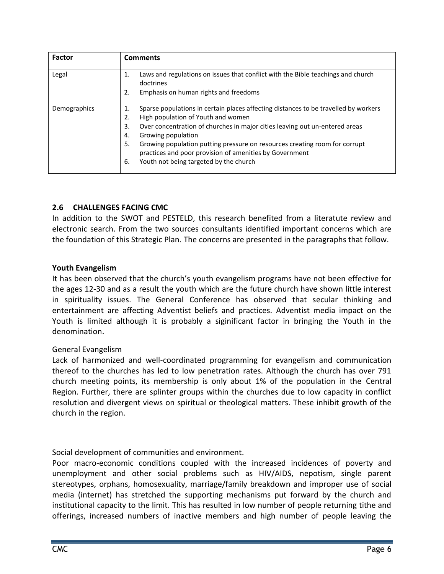| <b>Factor</b> | <b>Comments</b>                                                                                                                                                                                                                                                                                                                                                                                                                                       |
|---------------|-------------------------------------------------------------------------------------------------------------------------------------------------------------------------------------------------------------------------------------------------------------------------------------------------------------------------------------------------------------------------------------------------------------------------------------------------------|
| Legal         | Laws and regulations on issues that conflict with the Bible teachings and church<br>1.<br>doctrines<br>Emphasis on human rights and freedoms<br>2.                                                                                                                                                                                                                                                                                                    |
| Demographics  | Sparse populations in certain places affecting distances to be travelled by workers<br>1.<br>High population of Youth and women<br>2.<br>Over concentration of churches in major cities leaving out un-entered areas<br>3.<br>Growing population<br>4.<br>Growing population putting pressure on resources creating room for corrupt<br>5.<br>practices and poor provision of amenities by Government<br>Youth not being targeted by the church<br>6. |

#### <span id="page-12-0"></span>**2.6 CHALLENGES FACING CMC**

In addition to the SWOT and PESTELD, this research benefited from a literatute review and electronic search. From the two sources consultants identified important concerns which are the foundation of this Strategic Plan. The concerns are presented in the paragraphs that follow.

#### <span id="page-12-1"></span>**Youth Evangelism**

It has been observed that the church's youth evangelism programs have not been effective for the ages 12-30 and as a result the youth which are the future church have shown little interest in spirituality issues. The General Conference has observed that secular thinking and entertainment are affecting Adventist beliefs and practices. Adventist media impact on the Youth is limited although it is probably a siginificant factor in bringing the Youth in the denomination.

#### <span id="page-12-2"></span>General Evangelism

Lack of harmonized and well-coordinated programming for evangelism and communication thereof to the churches has led to low penetration rates. Although the church has over 791 church meeting points, its membership is only about 1% of the population in the Central Region. Further, there are splinter groups within the churches due to low capacity in conflict resolution and divergent views on spiritual or theological matters. These inhibit growth of the church in the region.

<span id="page-12-3"></span>Social development of communities and environment.

Poor macro-economic conditions coupled with the increased incidences of poverty and unemployment and other social problems such as HIV/AIDS, nepotism, single parent stereotypes, orphans, homosexuality, marriage/family breakdown and improper use of social media (internet) has stretched the supporting mechanisms put forward by the church and institutional capacity to the limit. This has resulted in low number of people returning tithe and offerings, increased numbers of inactive members and high number of people leaving the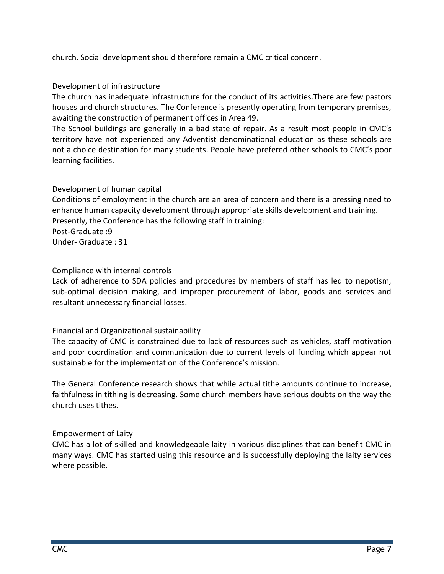church. Social development should therefore remain a CMC critical concern.

#### <span id="page-13-0"></span>Development of infrastructure

The church has inadequate infrastructure for the conduct of its activities.There are few pastors houses and church structures. The Conference is presently operating from temporary premises, awaiting the construction of permanent offices in Area 49.

The School buildings are generally in a bad state of repair. As a result most people in CMC's territory have not experienced any Adventist denominational education as these schools are not a choice destination for many students. People have prefered other schools to CMC's poor learning facilities.

#### <span id="page-13-1"></span>Development of human capital

Conditions of employment in the church are an area of concern and there is a pressing need to enhance human capacity development through appropriate skills development and training. Presently, the Conference has the following staff in training: Post-Graduate :9 Under- Graduate : 31

#### <span id="page-13-2"></span>Compliance with internal controls

Lack of adherence to SDA policies and procedures by members of staff has led to nepotism, sub-optimal decision making, and improper procurement of labor, goods and services and resultant unnecessary financial losses.

#### <span id="page-13-3"></span>Financial and Organizational sustainability

The capacity of CMC is constrained due to lack of resources such as vehicles, staff motivation and poor coordination and communication due to current levels of funding which appear not sustainable for the implementation of the Conference's mission.

The General Conference research shows that while actual tithe amounts continue to increase, faithfulness in tithing is decreasing. Some church members have serious doubts on the way the church uses tithes.

#### Empowerment of Laity

CMC has a lot of skilled and knowledgeable laity in various disciplines that can benefit CMC in many ways. CMC has started using this resource and is successfully deploying the laity services where possible.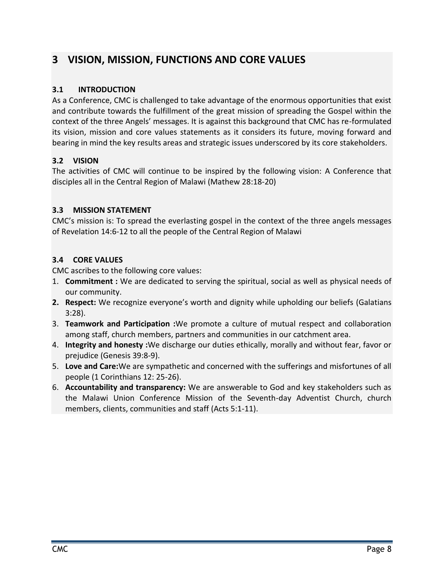# <span id="page-14-0"></span>**3 VISION, MISSION, FUNCTIONS AND CORE VALUES**

#### <span id="page-14-1"></span>**3.1 INTRODUCTION**

As a Conference, CMC is challenged to take advantage of the enormous opportunities that exist and contribute towards the fulfillment of the great mission of spreading the Gospel within the context of the three Angels' messages. It is against this background that CMC has re-formulated its vision, mission and core values statements as it considers its future, moving forward and bearing in mind the key results areas and strategic issues underscored by its core stakeholders.

#### <span id="page-14-2"></span>**3.2 VISION**

The activities of CMC will continue to be inspired by the following vision: A Conference that disciples all in the Central Region of Malawi (Mathew 28:18-20)

#### <span id="page-14-3"></span>**3.3 MISSION STATEMENT**

CMC's mission is: To spread the everlasting gospel in the context of the three angels messages of Revelation 14:6-12 to all the people of the Central Region of Malawi

#### <span id="page-14-4"></span>**3.4 CORE VALUES**

CMC ascribes to the following core values:

- 1. **Commitment :** We are dedicated to serving the spiritual, social as well as physical needs of our community.
- **2. Respect:** We recognize everyone's worth and dignity while upholding our beliefs (Galatians 3:28).
- 3. **Teamwork and Participation :**We promote a culture of mutual respect and collaboration among staff, church members, partners and communities in our catchment area.
- 4. **Integrity and honesty :**We discharge our duties ethically, morally and without fear, favor or prejudice (Genesis 39:8-9).
- 5. **Love and Care:**We are sympathetic and concerned with the sufferings and misfortunes of all people (1 Corinthians 12: 25-26).
- 6. **Accountability and transparency:** We are answerable to God and key stakeholders such as the Malawi Union Conference Mission of the Seventh-day Adventist Church, church members, clients, communities and staff (Acts 5:1-11).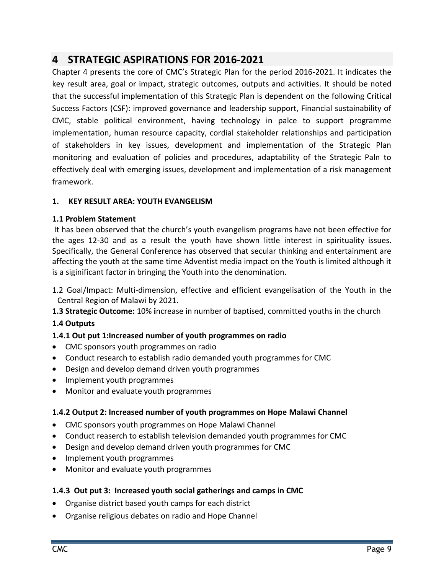# <span id="page-15-0"></span>**4 STRATEGIC ASPIRATIONS FOR 2016-2021**

Chapter 4 presents the core of CMC's Strategic Plan for the period 2016-2021. It indicates the key result area, goal or impact, strategic outcomes, outputs and activities. It should be noted that the successful implementation of this Strategic Plan is dependent on the following Critical Success Factors (CSF): improved governance and leadership support, Financial sustainability of CMC, stable political environment, having technology in palce to support programme implementation, human resource capacity, cordial stakeholder relationships and participation of stakeholders in key issues, development and implementation of the Strategic Plan monitoring and evaluation of policies and procedures, adaptability of the Strategic Paln to effectively deal with emerging issues, development and implementation of a risk management framework.

#### <span id="page-15-1"></span>**1. KEY RESULT AREA: YOUTH EVANGELISM**

#### **1.1 Problem Statement**

It has been observed that the church's youth evangelism programs have not been effective for the ages 12-30 and as a result the youth have shown little interest in spirituality issues. Specifically, the General Conference has observed that secular thinking and entertainment are affecting the youth at the same time Adventist media impact on the Youth is limited although it is a siginificant factor in bringing the Youth into the denomination.

- 1.2 Goal/Impact: Multi-dimension, effective and efficient evangelisation of the Youth in the Central Region of Malawi by 2021.
- **1.3 Strategic Outcome:** 10% **i**ncrease in number of baptised, committed youths in the church

#### **1.4 Outputs**

#### **1.4.1 Out put 1:Increased number of youth programmes on radio**

- CMC sponsors youth programmes on radio
- Conduct research to establish radio demanded youth programmes for CMC
- Design and develop demand driven youth programmes
- Implement youth programmes
- Monitor and evaluate youth programmes

#### **1.4.2 Output 2: Increased number of youth programmes on Hope Malawi Channel**

- CMC sponsors youth programmes on Hope Malawi Channel
- Conduct reaserch to establish television demanded youth programmes for CMC
- Design and develop demand driven youth programmes for CMC
- Implement youth programmes
- Monitor and evaluate youth programmes

#### **1.4.3 Out put 3: Increased youth social gatherings and camps in CMC**

- Organise district based youth camps for each district
- Organise religious debates on radio and Hope Channel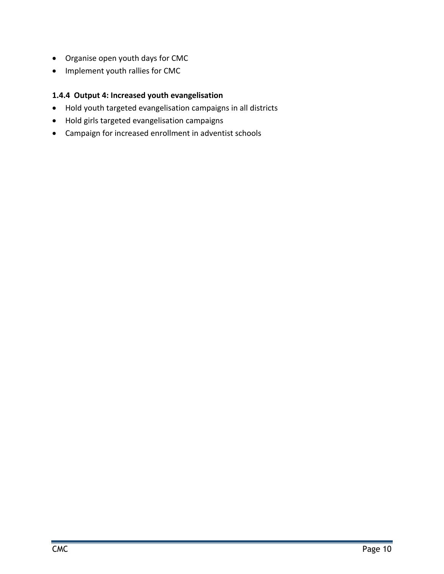- Organise open youth days for CMC
- Implement youth rallies for CMC

#### **1.4.4 Output 4: Increased youth evangelisation**

- Hold youth targeted evangelisation campaigns in all districts
- Hold girls targeted evangelisation campaigns
- Campaign for increased enrollment in adventist schools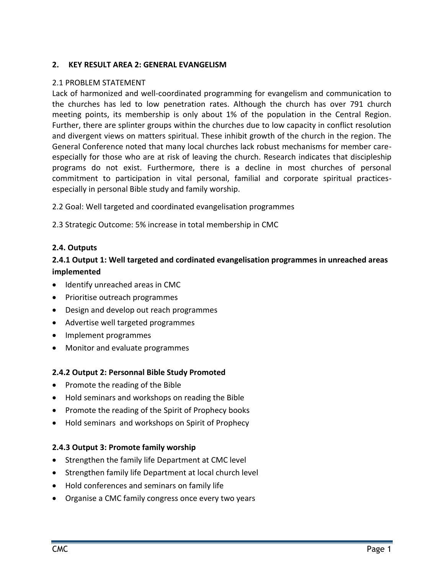#### <span id="page-17-0"></span>**2. KEY RESULT AREA 2: GENERAL EVANGELISM**

#### 2.1 PROBLEM STATEMENT

Lack of harmonized and well-coordinated programming for evangelism and communication to the churches has led to low penetration rates. Although the church has over 791 church meeting points, its membership is only about 1% of the population in the Central Region. Further, there are splinter groups within the churches due to low capacity in conflict resolution and divergent views on matters spiritual. These inhibit growth of the church in the region. The General Conference noted that many local churches lack robust mechanisms for member careespecially for those who are at risk of leaving the church. Research indicates that discipleship programs do not exist. Furthermore, there is a decline in most churches of personal commitment to participation in vital personal, familial and corporate spiritual practicesespecially in personal Bible study and family worship.

2.2 Goal: Well targeted and coordinated evangelisation programmes

2.3 Strategic Outcome: 5% increase in total membership in CMC

#### **2.4. Outputs**

#### **2.4.1 Output 1: Well targeted and cordinated evangelisation programmes in unreached areas implemented**

- Identify unreached areas in CMC
- Prioritise outreach programmes
- Design and develop out reach programmes
- Advertise well targeted programmes
- Implement programmes
- Monitor and evaluate programmes

#### **2.4.2 Output 2: Personnal Bible Study Promoted**

- Promote the reading of the Bible
- Hold seminars and workshops on reading the Bible
- Promote the reading of the Spirit of Prophecy books
- Hold seminars and workshops on Spirit of Prophecy

#### **2.4.3 Output 3: Promote family worship**

- Strengthen the family life Department at CMC level
- Strengthen family life Department at local church level
- Hold conferences and seminars on family life
- Organise a CMC family congress once every two years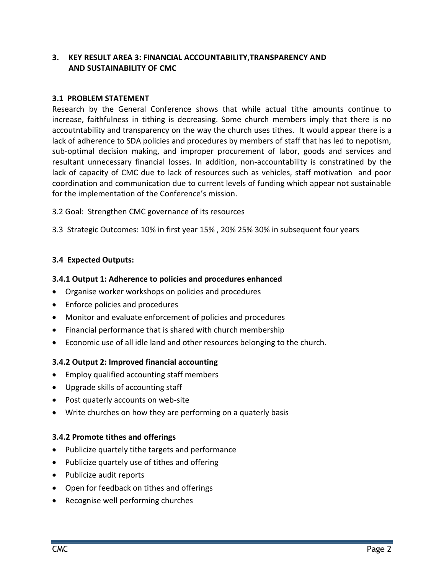#### <span id="page-18-1"></span><span id="page-18-0"></span>**3. KEY RESULT AREA 3: FINANCIAL ACCOUNTABILITY,TRANSPARENCY AND AND SUSTAINABILITY OF CMC**

#### **3.1 PROBLEM STATEMENT**

Research by the General Conference shows that while actual tithe amounts continue to increase, faithfulness in tithing is decreasing. Some church members imply that there is no accoutntability and transparency on the way the church uses tithes. It would appear there is a lack of adherence to SDA policies and procedures by members of staff that has led to nepotism, sub-optimal decision making, and improper procurement of labor, goods and services and resultant unnecessary financial losses. In addition, non-accountability is constratined by the lack of capacity of CMC due to lack of resources such as vehicles, staff motivation and poor coordination and communication due to current levels of funding which appear not sustainable for the implementation of the Conference's mission.

- 3.2 Goal: Strengthen CMC governance of its resources
- 3.3 Strategic Outcomes: 10% in first year 15% , 20% 25% 30% in subsequent four years

#### **3.4 Expected Outputs:**

#### **3.4.1 Output 1: Adherence to policies and procedures enhanced**

- Organise worker workshops on policies and procedures
- Enforce policies and procedures
- Monitor and evaluate enforcement of policies and procedures
- Financial performance that is shared with church membership
- Economic use of all idle land and other resources belonging to the church.

#### **3.4.2 Output 2: Improved financial accounting**

- Employ qualified accounting staff members
- Upgrade skills of accounting staff
- Post quaterly accounts on web-site
- Write churches on how they are performing on a quaterly basis

#### **3.4.2 Promote tithes and offerings**

- Publicize quartely tithe targets and performance
- Publicize quartely use of tithes and offering
- Publicize audit reports
- Open for feedback on tithes and offerings
- Recognise well performing churches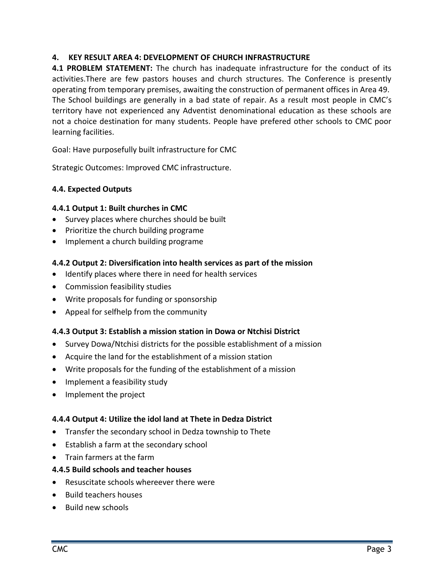#### <span id="page-19-0"></span>**4. KEY RESULT AREA 4: DEVELOPMENT OF CHURCH INFRASTRUCTURE**

**4.1 PROBLEM STATEMENT:** The church has inadequate infrastructure for the conduct of its activities.There are few pastors houses and church structures. The Conference is presently operating from temporary premises, awaiting the construction of permanent offices in Area 49. The School buildings are generally in a bad state of repair. As a result most people in CMC's territory have not experienced any Adventist denominational education as these schools are not a choice destination for many students. People have prefered other schools to CMC poor learning facilities.

Goal: Have purposefully built infrastructure for CMC

Strategic Outcomes: Improved CMC infrastructure.

#### **4.4. Expected Outputs**

#### **4.4.1 Output 1: Built churches in CMC**

- Survey places where churches should be built
- Prioritize the church building programe
- Implement a church building programe

#### **4.4.2 Output 2: Diversification into health services as part of the mission**

- Identify places where there in need for health services
- Commission feasibility studies
- Write proposals for funding or sponsorship
- Appeal for selfhelp from the community

#### **4.4.3 Output 3: Establish a mission station in Dowa or Ntchisi District**

- Survey Dowa/Ntchisi districts for the possible establishment of a mission
- Acquire the land for the establishment of a mission station
- Write proposals for the funding of the establishment of a mission
- Implement a feasibility study
- Implement the project

#### **4.4.4 Output 4: Utilize the idol land at Thete in Dedza District**

- Transfer the secondary school in Dedza township to Thete
- Establish a farm at the secondary school
- Train farmers at the farm

#### **4.4.5 Build schools and teacher houses**

- Resuscitate schools whereever there were
- Build teachers houses
- Build new schools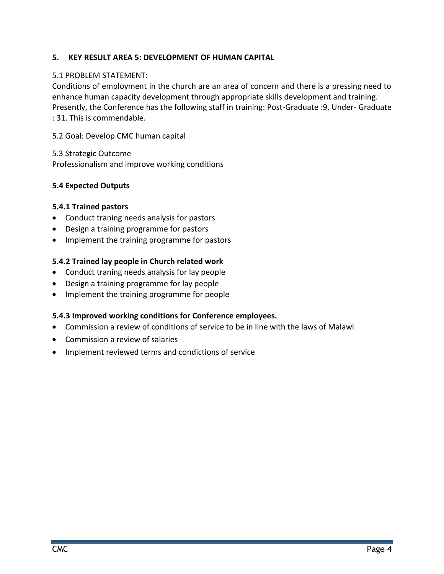#### **5. KEY RESULT AREA 5: DEVELOPMENT OF HUMAN CAPITAL**

#### 5.1 PROBLEM STATEMENT:

Conditions of employment in the church are an area of concern and there is a pressing need to enhance human capacity development through appropriate skills development and training. Presently, the Conference has the following staff in training: Post-Graduate :9, Under- Graduate : 31. This is commendable.

5.2 Goal: Develop CMC human capital

5.3 Strategic Outcome Professionalism and improve working conditions

#### **5.4 Expected Outputs**

#### **5.4.1 Trained pastors**

- Conduct traning needs analysis for pastors
- Design a training programme for pastors
- Implement the training programme for pastors

#### **5.4.2 Trained lay people in Church related work**

- Conduct traning needs analysis for lay people
- Design a training programme for lay people
- Implement the training programme for people

#### **5.4.3 Improved working conditions for Conference employees.**

- Commission a review of conditions of service to be in line with the laws of Malawi
- Commission a review of salaries
- Implement reviewed terms and condictions of service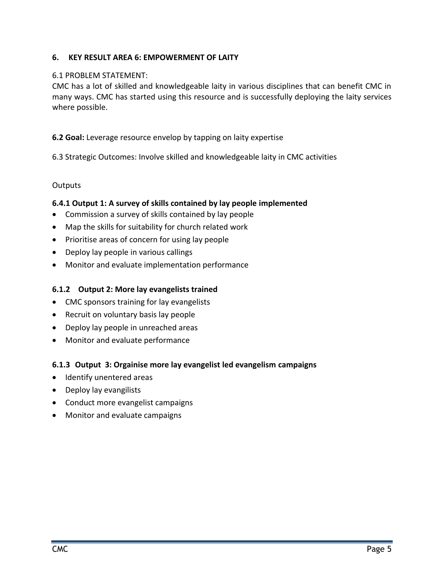#### <span id="page-21-0"></span>**6. KEY RESULT AREA 6: EMPOWERMENT OF LAITY**

#### 6.1 PROBLEM STATEMENT:

CMC has a lot of skilled and knowledgeable laity in various disciplines that can benefit CMC in many ways. CMC has started using this resource and is successfully deploying the laity services where possible.

#### **6.2 Goal:** Leverage resource envelop by tapping on laity expertise

6.3 Strategic Outcomes: Involve skilled and knowledgeable laity in CMC activities

#### **Outputs**

#### **6.4.1 Output 1: A survey of skills contained by lay people implemented**

- Commission a survey of skills contained by lay people
- Map the skills for suitability for church related work
- Prioritise areas of concern for using lay people
- Deploy lay people in various callings
- Monitor and evaluate implementation performance

#### **6.1.2 Output 2: More lay evangelists trained**

- CMC sponsors training for lay evangelists
- Recruit on voluntary basis lay people
- Deploy lay people in unreached areas
- Monitor and evaluate performance

#### **6.1.3 Output 3: Orgainise more lay evangelist led evangelism campaigns**

- Identify unentered areas
- Deploy lay evangilists
- Conduct more evangelist campaigns
- Monitor and evaluate campaigns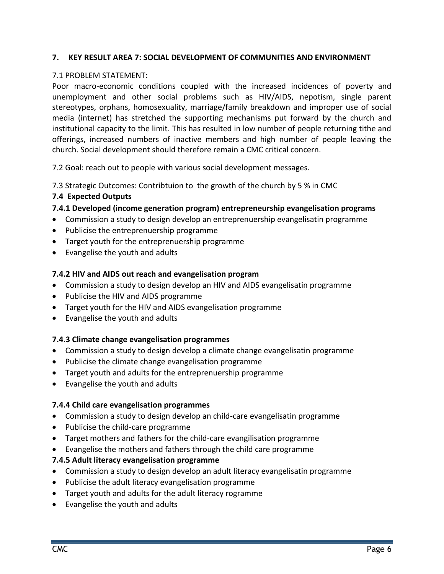#### <span id="page-22-0"></span>**7. KEY RESULT AREA 7: SOCIAL DEVELOPMENT OF COMMUNITIES AND ENVIRONMENT**

#### 7.1 PROBLEM STATEMENT:

Poor macro-economic conditions coupled with the increased incidences of poverty and unemployment and other social problems such as HIV/AIDS, nepotism, single parent stereotypes, orphans, homosexuality, marriage/family breakdown and improper use of social media (internet) has stretched the supporting mechanisms put forward by the church and institutional capacity to the limit. This has resulted in low number of people returning tithe and offerings, increased numbers of inactive members and high number of people leaving the church. Social development should therefore remain a CMC critical concern.

7.2 Goal: reach out to people with various social development messages.

7.3 Strategic Outcomes: Contribtuion to the growth of the church by 5 % in CMC

#### **7.4 Expected Outputs**

#### **7.4.1 Developed (income generation program) entrepreneurship evangelisation programs**

- Commission a study to design develop an entreprenuership evangelisatin programme
- Publicise the entreprenuership programme
- Target youth for the entreprenuership programme
- Evangelise the youth and adults

#### **7.4.2 HIV and AIDS out reach and evangelisation program**

- Commission a study to design develop an HIV and AIDS evangelisatin programme
- Publicise the HIV and AIDS programme
- Target youth for the HIV and AIDS evangelisation programme
- Evangelise the youth and adults

#### **7.4.3 Climate change evangelisation programmes**

- Commission a study to design develop a climate change evangelisatin programme
- Publicise the climate change evangelisation programme
- Target youth and adults for the entreprenuership programme
- Evangelise the youth and adults

#### **7.4.4 Child care evangelisation programmes**

- Commission a study to design develop an child-care evangelisatin programme
- Publicise the child-care programme
- Target mothers and fathers for the child-care evangilisation programme
- Evangelise the mothers and fathers through the child care programme

#### **7.4.5 Adult literacy evangelisation programme**

- Commission a study to design develop an adult literacy evangelisatin programme
- Publicise the adult literacy evangelisation programme
- Target youth and adults for the adult literacy rogramme
- Evangelise the youth and adults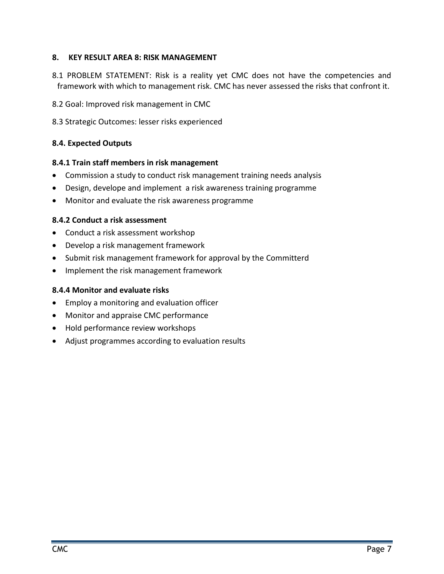#### <span id="page-23-0"></span>**8. KEY RESULT AREA 8: RISK MANAGEMENT**

- 8.1 PROBLEM STATEMENT: Risk is a reality yet CMC does not have the competencies and framework with which to management risk. CMC has never assessed the risks that confront it.
- 8.2 Goal: Improved risk management in CMC
- 8.3 Strategic Outcomes: lesser risks experienced

#### **8.4. Expected Outputs**

#### **8.4.1 Train staff members in risk management**

- Commission a study to conduct risk management training needs analysis
- Design, develope and implement a risk awareness training programme
- Monitor and evaluate the risk awareness programme

#### **8.4.2 Conduct a risk assessment**

- Conduct a risk assessment workshop
- Develop a risk management framework
- Submit risk management framework for approval by the Committerd
- Implement the risk management framework

#### **8.4.4 Monitor and evaluate risks**

- Employ a monitoring and evaluation officer
- Monitor and appraise CMC performance
- Hold performance review workshops
- Adjust programmes according to evaluation results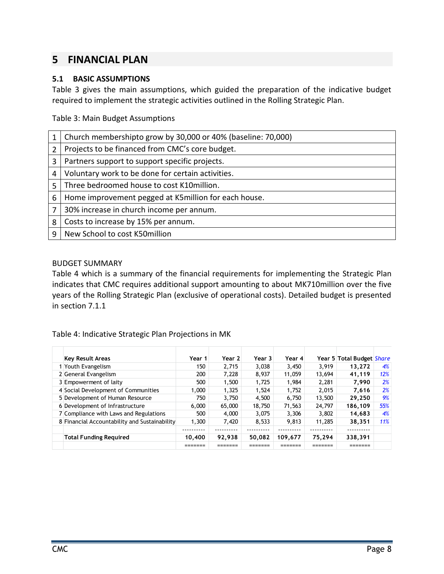## <span id="page-24-0"></span>**5 FINANCIAL PLAN**

#### <span id="page-24-1"></span>**5.1 BASIC ASSUMPTIONS**

Table 3 gives the main assumptions, which guided the preparation of the indicative budget required to implement the strategic activities outlined in the Rolling Strategic Plan.

<span id="page-24-3"></span>Table 3: Main Budget Assumptions

| 1              | Church membershipto grow by 30,000 or 40% (baseline: 70,000) |
|----------------|--------------------------------------------------------------|
| $\overline{2}$ | Projects to be financed from CMC's core budget.              |
| 3              | Partners support to support specific projects.               |
| 4              | Voluntary work to be done for certain activities.            |
| 5              | Three bedroomed house to cost K10million.                    |
| 6              | Home improvement pegged at K5million for each house.         |
| 7              | 30% increase in church income per annum.                     |
| 8              | Costs to increase by 15% per annum.                          |
| q              | New School to cost K50million                                |

#### <span id="page-24-2"></span>BUDGET SUMMARY

Table 4 which is a summary of the financial requirements for implementing the Strategic Plan indicates that CMC requires additional support amounting to about MK710million over the five years of the Rolling Strategic Plan (exclusive of operational costs). Detailed budget is presented in section 7.1.1

#### <span id="page-24-4"></span>Table 4: Indicative Strategic Plan Projections in MK

| <b>Key Result Areas</b>                       | Year 1 | Year 2 | Year 3 | Year 4  |        | Year 5 Total Budget <i>Share</i> |     |
|-----------------------------------------------|--------|--------|--------|---------|--------|----------------------------------|-----|
| 1 Youth Evangelism                            | 150    | 2.715  | 3,038  | 3.450   | 3.919  | 13.272                           | 4%  |
| 2 General Evangelism                          | 200    | 7.228  | 8,937  | 11,059  | 13.694 | 41.119                           | 12% |
| 3 Empowerment of laity                        | 500    | 1,500  | 1,725  | 1.984   | 2.281  | 7.990                            | 2%  |
| 4 Social Development of Communities           | 1,000  | 1.325  | 1.524  | 1.752   | 2.015  | 7.616                            | 2%  |
| 5 Development of Human Resource               | 750    | 3.750  | 4.500  | 6.750   | 13,500 | 29.250                           | 9%  |
| 6 Development of Infrastructure               | 6,000  | 65,000 | 18,750 | 71,563  | 24,797 | 186.109                          | 55% |
| 7 Compliance with Laws and Regulations        | 500    | 4,000  | 3.075  | 3,306   | 3.802  | 14.683                           | 4%  |
| 8 Financial Accountability and Sustainability | 1,300  | 7.420  | 8,533  | 9.813   | 11,285 | 38.351                           | 11% |
|                                               |        |        |        |         |        |                                  |     |
| <b>Total Funding Required</b>                 | 10,400 | 92,938 | 50,082 | 109,677 | 75.294 | 338,391                          |     |
|                                               |        |        |        |         |        |                                  |     |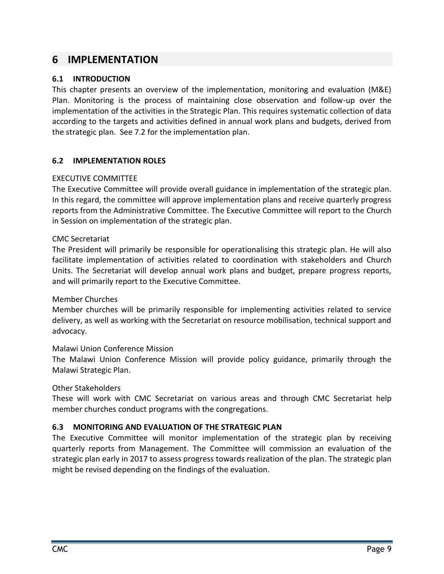### <span id="page-25-0"></span>**6 IMPLEMENTATION**

#### <span id="page-25-1"></span>**6.1 INTRODUCTION**

This chapter presents an overview of the implementation, monitoring and evaluation (M&E) Plan. Monitoring is the process of maintaining close observation and follow-up over the implementation of the activities in the Strategic Plan. This requires systematic collection of data according to the targets and activities defined in annual work plans and budgets, derived from the strategic plan. See 7.2 for the implementation plan.

#### <span id="page-25-2"></span>**6.2 IMPLEMENTATION ROLES**

#### <span id="page-25-3"></span>EXECUTIVE COMMITTEE

The Executive Committee will provide overall guidance in implementation of the strategic plan. In this regard, the committee will approve implementation plans and receive quarterly progress reports from the Administrative Committee. The Executive Committee will report to the Church in Session on implementation of the strategic plan.

#### <span id="page-25-4"></span>CMC Secretariat

The President will primarily be responsible for operationalising this strategic plan. He will also facilitate implementation of activities related to coordination with stakeholders and Church Units. The Secretariat will develop annual work plans and budget, prepare progress reports, and will primarily report to the Executive Committee.

#### <span id="page-25-5"></span>Member Churches

Member churches will be primarily responsible for implementing activities related to service delivery, as well as working with the Secretariat on resource mobilisation, technical support and advocacy.

#### <span id="page-25-6"></span>Malawi Union Conference Mission

The Malawi Union Conference Mission will provide policy guidance, primarily through the Malawi Strategic Plan.

#### <span id="page-25-7"></span>Other Stakeholders

These will work with CMC Secretariat on various areas and through CMC Secretariat help member churches conduct programs with the congregations.

#### <span id="page-25-8"></span>**6.3 MONITORING AND EVALUATION OF THE STRATEGIC PLAN**

The Executive Committee will monitor implementation of the strategic plan by receiving quarterly reports from Management. The Committee will commission an evaluation of the strategic plan early in 2017 to assess progress towards realization of the plan. The strategic plan might be revised depending on the findings of the evaluation.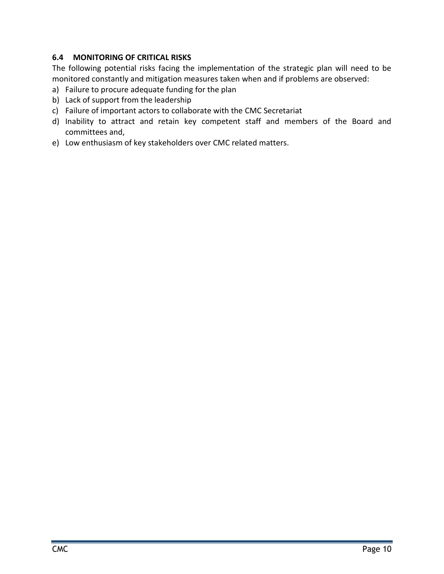#### <span id="page-26-0"></span>**6.4 MONITORING OF CRITICAL RISKS**

The following potential risks facing the implementation of the strategic plan will need to be monitored constantly and mitigation measures taken when and if problems are observed:

- a) Failure to procure adequate funding for the plan
- b) Lack of support from the leadership
- c) Failure of important actors to collaborate with the CMC Secretariat
- d) Inability to attract and retain key competent staff and members of the Board and committees and,
- e) Low enthusiasm of key stakeholders over CMC related matters.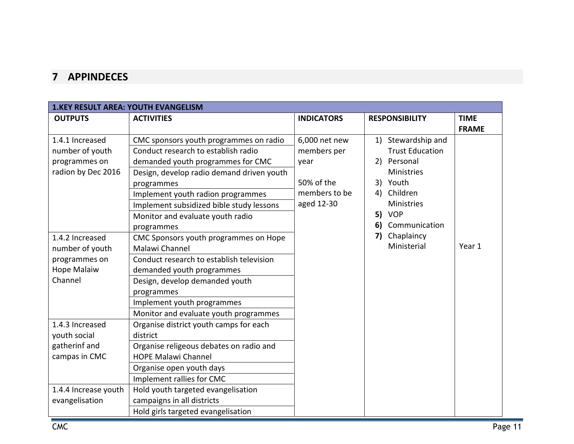# **7 APPINDECES**

<span id="page-27-0"></span>

| <b>1.KEY RESULT AREA: YOUTH EVANGELISM</b> |                                           |                   |                        |              |
|--------------------------------------------|-------------------------------------------|-------------------|------------------------|--------------|
| <b>OUTPUTS</b>                             | <b>ACTIVITIES</b>                         | <b>INDICATORS</b> | <b>RESPONSIBILITY</b>  | <b>TIME</b>  |
|                                            |                                           |                   |                        | <b>FRAME</b> |
| 1.4.1 Increased                            | CMC sponsors youth programmes on radio    | 6,000 net new     | Stewardship and<br>1)  |              |
| number of youth                            | Conduct research to establish radio       | members per       | <b>Trust Education</b> |              |
| programmes on                              | demanded youth programmes for CMC         | year              | Personal<br>2)         |              |
| radion by Dec 2016                         | Design, develop radio demand driven youth |                   | <b>Ministries</b>      |              |
|                                            | programmes                                | 50% of the        | 3)<br>Youth            |              |
|                                            | Implement youth radion programmes         | members to be     | Children<br>4)         |              |
|                                            | Implement subsidized bible study lessons  | aged 12-30        | <b>Ministries</b>      |              |
|                                            | Monitor and evaluate youth radio          |                   | <b>VOP</b><br>5)       |              |
|                                            | programmes                                |                   | 6)<br>Communication    |              |
| 1.4.2 Increased                            | CMC Sponsors youth programmes on Hope     |                   | 7)<br>Chaplaincy       |              |
| number of youth                            | Malawi Channel                            |                   | Ministerial            | Year 1       |
| programmes on                              | Conduct research to establish television  |                   |                        |              |
| <b>Hope Malaiw</b>                         | demanded youth programmes                 |                   |                        |              |
| Channel                                    | Design, develop demanded youth            |                   |                        |              |
|                                            | programmes                                |                   |                        |              |
|                                            | Implement youth programmes                |                   |                        |              |
|                                            | Monitor and evaluate youth programmes     |                   |                        |              |
| 1.4.3 Increased                            | Organise district youth camps for each    |                   |                        |              |
| youth social                               | district                                  |                   |                        |              |
| gatherinf and                              | Organise religeous debates on radio and   |                   |                        |              |
| campas in CMC                              | <b>HOPE Malawi Channel</b>                |                   |                        |              |
|                                            | Organise open youth days                  |                   |                        |              |
|                                            | Implement rallies for CMC                 |                   |                        |              |
| 1.4.4 Increase youth                       | Hold youth targeted evangelisation        |                   |                        |              |
| evangelisation                             | campaigns in all districts                |                   |                        |              |
|                                            | Hold girls targeted evangelisation        |                   |                        |              |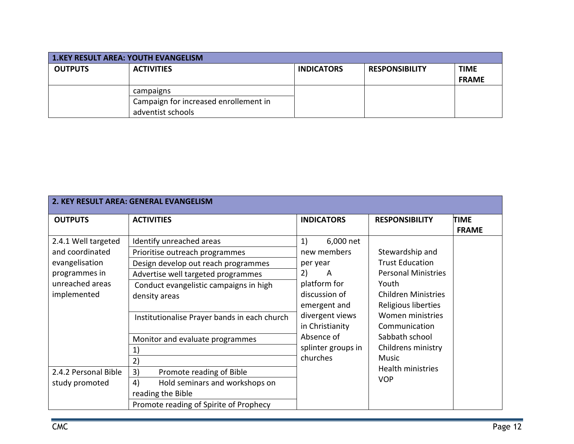| <b>1.KEY RESULT AREA: YOUTH EVANGELISM</b> |                                       |                   |                       |              |
|--------------------------------------------|---------------------------------------|-------------------|-----------------------|--------------|
| <b>OUTPUTS</b>                             | <b>ACTIVITIES</b>                     | <b>INDICATORS</b> | <b>RESPONSIBILITY</b> | <b>TIME</b>  |
|                                            |                                       |                   |                       | <b>FRAME</b> |
|                                            | campaigns                             |                   |                       |              |
|                                            | Campaign for increased enrollement in |                   |                       |              |
|                                            | adventist schools                     |                   |                       |              |

|                      | 2. KEY RESULT AREA: GENERAL EVANGELISM       |                                    |                                   |                             |
|----------------------|----------------------------------------------|------------------------------------|-----------------------------------|-----------------------------|
| <b>OUTPUTS</b>       | <b>ACTIVITIES</b>                            | <b>INDICATORS</b>                  | <b>RESPONSIBILITY</b>             | <b>TIME</b><br><b>FRAME</b> |
| 2.4.1 Well targeted  | Identify unreached areas                     | 1)<br>6,000 net                    |                                   |                             |
| and coordinated      | Prioritise outreach programmes               | new members                        | Stewardship and                   |                             |
| evangelisation       | Design develop out reach programmes          | per year                           | <b>Trust Education</b>            |                             |
| programmes in        | Advertise well targeted programmes           | 2)<br>A                            | <b>Personal Ministries</b>        |                             |
| unreached areas      | Conduct evangelistic campaigns in high       | platform for                       | Youth                             |                             |
| implemented          | density areas                                | discussion of                      | <b>Children Ministries</b>        |                             |
|                      |                                              | emergent and                       | Religious liberties               |                             |
|                      | Institutionalise Prayer bands in each church | divergent views<br>in Christianity | Women ministries<br>Communication |                             |
|                      | Monitor and evaluate programmes              | Absence of                         | Sabbath school                    |                             |
|                      | 1)                                           | splinter groups in                 | Childrens ministry                |                             |
|                      | 2)                                           | churches                           | Music                             |                             |
| 2.4.2 Personal Bible | 3)<br>Promote reading of Bible               |                                    | Health ministries                 |                             |
| study promoted       | 4)<br>Hold seminars and workshops on         |                                    | <b>VOP</b>                        |                             |
|                      | reading the Bible                            |                                    |                                   |                             |
|                      | Promote reading of Spirite of Prophecy       |                                    |                                   |                             |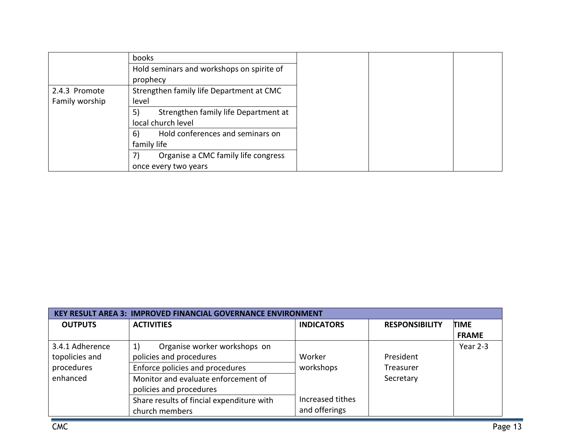|                | books                                      |
|----------------|--------------------------------------------|
|                | Hold seminars and workshops on spirite of  |
|                | prophecy                                   |
| 2.4.3 Promote  | Strengthen family life Department at CMC   |
| Family worship | level                                      |
|                | 5)<br>Strengthen family life Department at |
|                | local church level                         |
|                | Hold conferences and seminars on<br>6)     |
|                | family life                                |
|                | Organise a CMC family life congress<br>7)  |
|                | once every two years                       |

| <b>KEY RESULT AREA 3: IMPROVED FINANCIAL GOVERNANCE ENVIRONMENT</b> |                                                                                                                                                                    |                                   |                                     |                             |  |  |  |  |
|---------------------------------------------------------------------|--------------------------------------------------------------------------------------------------------------------------------------------------------------------|-----------------------------------|-------------------------------------|-----------------------------|--|--|--|--|
| <b>OUTPUTS</b>                                                      | <b>ACTIVITIES</b>                                                                                                                                                  | <b>INDICATORS</b>                 | <b>RESPONSIBILITY</b>               | <b>TIME</b><br><b>FRAME</b> |  |  |  |  |
| 3.4.1 Adherence<br>topolicies and<br>procedures<br>enhanced         | Organise worker workshops on<br>1)<br>policies and procedures<br>Enforce policies and procedures<br>Monitor and evaluate enforcement of<br>policies and procedures | Worker<br>workshops               | President<br>Treasurer<br>Secretary | Year 2-3                    |  |  |  |  |
|                                                                     | Share results of fincial expenditure with<br>church members                                                                                                        | Increased tithes<br>and offerings |                                     |                             |  |  |  |  |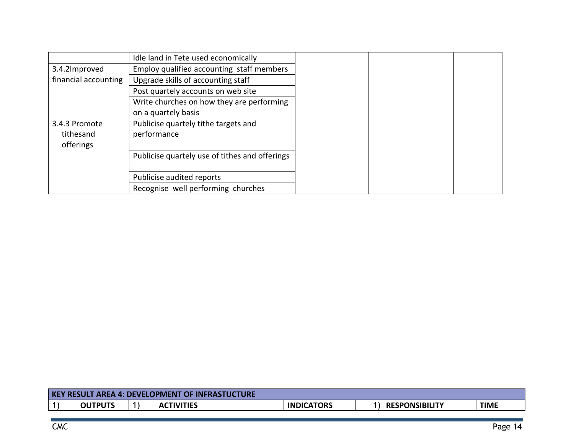|                      | Idle land in Tete used economically            |
|----------------------|------------------------------------------------|
| 3.4.2Improved        | Employ qualified accounting staff members      |
| financial accounting | Upgrade skills of accounting staff             |
|                      | Post quartely accounts on web site             |
|                      | Write churches on how they are performing      |
|                      | on a quartely basis                            |
| 3.4.3 Promote        | Publicise quartely tithe targets and           |
| tithesand            | performance                                    |
| offerings            |                                                |
|                      | Publicise quartely use of tithes and offerings |
|                      |                                                |
|                      | Publicise audited reports                      |
|                      | Recognise well performing churches             |

| <b>KEY RESULT AREA 4: DEVELOPMENT OF INFRASTUCTURE</b> |  |                   |                   |                       |             |  |  |
|--------------------------------------------------------|--|-------------------|-------------------|-----------------------|-------------|--|--|
| <b>OUTPUTS</b>                                         |  | <b>ACTIVITIES</b> | <b>INDICATORS</b> | <b>RESPONSIBILITY</b> | <b>TIME</b> |  |  |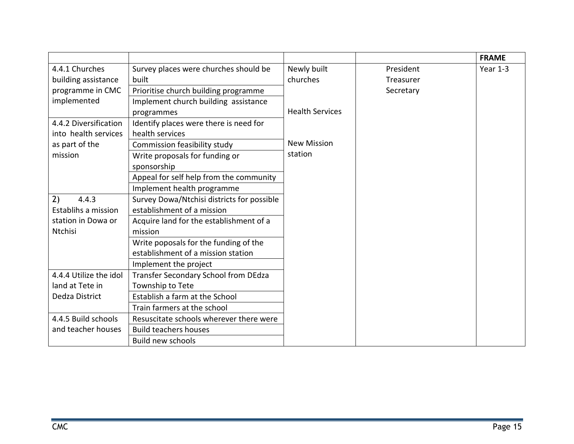|                        |                                            |                        |           | <b>FRAME</b> |
|------------------------|--------------------------------------------|------------------------|-----------|--------------|
| 4.4.1 Churches         | Survey places were churches should be      | Newly built            | President | Year 1-3     |
| building assistance    | built                                      | churches               | Treasurer |              |
| programme in CMC       | Prioritise church building programme       |                        | Secretary |              |
| implemented            | Implement church building assistance       |                        |           |              |
|                        | programmes                                 | <b>Health Services</b> |           |              |
| 4.4.2 Diversification  | Identify places were there is need for     |                        |           |              |
| into health services   | health services                            |                        |           |              |
| as part of the         | Commission feasibility study               | <b>New Mission</b>     |           |              |
| mission                | Write proposals for funding or             | station                |           |              |
|                        | sponsorship                                |                        |           |              |
|                        | Appeal for self help from the community    |                        |           |              |
|                        | Implement health programme                 |                        |           |              |
| 2)<br>4.4.3            | Survey Dowa/Ntchisi districts for possible |                        |           |              |
| Establihs a mission    | establishment of a mission                 |                        |           |              |
| station in Dowa or     | Acquire land for the establishment of a    |                        |           |              |
| <b>Ntchisi</b>         | mission                                    |                        |           |              |
|                        | Write poposals for the funding of the      |                        |           |              |
|                        | establishment of a mission station         |                        |           |              |
|                        | Implement the project                      |                        |           |              |
| 4.4.4 Utilize the idol | Transfer Secondary School from DEdza       |                        |           |              |
| land at Tete in        | Township to Tete                           |                        |           |              |
| Dedza District         | Establish a farm at the School             |                        |           |              |
|                        | Train farmers at the school                |                        |           |              |
| 4.4.5 Build schools    | Resuscitate schools wherever there were    |                        |           |              |
| and teacher houses     | <b>Build teachers houses</b>               |                        |           |              |
|                        | <b>Build new schools</b>                   |                        |           |              |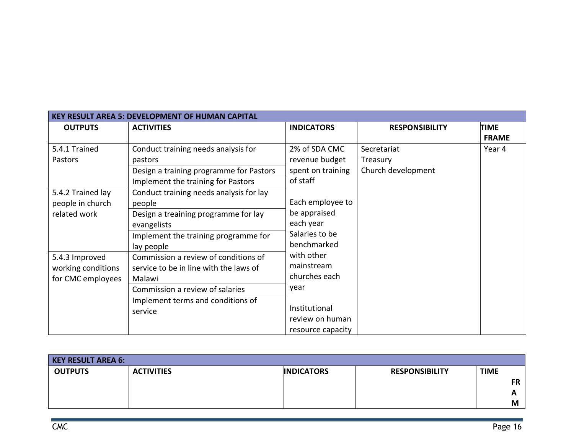| <b>KEY RESULT AREA 5: DEVELOPMENT OF HUMAN CAPITAL</b> |                                         |                   |                       |              |  |  |  |  |
|--------------------------------------------------------|-----------------------------------------|-------------------|-----------------------|--------------|--|--|--|--|
| <b>OUTPUTS</b>                                         | <b>ACTIVITIES</b>                       | <b>INDICATORS</b> | <b>RESPONSIBILITY</b> | <b>TIME</b>  |  |  |  |  |
|                                                        |                                         |                   |                       | <b>FRAME</b> |  |  |  |  |
| 5.4.1 Trained                                          | Conduct training needs analysis for     | 2% of SDA CMC     | Secretariat           | Year 4       |  |  |  |  |
| Pastors                                                | pastors                                 | revenue budget    | Treasury              |              |  |  |  |  |
|                                                        | Design a training programme for Pastors | spent on training | Church development    |              |  |  |  |  |
|                                                        | Implement the training for Pastors      | of staff          |                       |              |  |  |  |  |
| 5.4.2 Trained lay                                      | Conduct training needs analysis for lay |                   |                       |              |  |  |  |  |
| people in church                                       | people                                  | Each employee to  |                       |              |  |  |  |  |
| related work                                           | Design a treaining programme for lay    | be appraised      |                       |              |  |  |  |  |
|                                                        | evangelists                             | each year         |                       |              |  |  |  |  |
|                                                        | Implement the training programme for    | Salaries to be    |                       |              |  |  |  |  |
|                                                        | lay people                              | benchmarked       |                       |              |  |  |  |  |
| 5.4.3 Improved                                         | Commission a review of conditions of    | with other        |                       |              |  |  |  |  |
| working conditions                                     | service to be in line with the laws of  | mainstream        |                       |              |  |  |  |  |
| for CMC employees                                      | Malawi                                  | churches each     |                       |              |  |  |  |  |
|                                                        | Commission a review of salaries         | year              |                       |              |  |  |  |  |
|                                                        | Implement terms and conditions of       |                   |                       |              |  |  |  |  |
|                                                        | service                                 | Institutional     |                       |              |  |  |  |  |
|                                                        |                                         | review on human   |                       |              |  |  |  |  |
|                                                        |                                         | resource capacity |                       |              |  |  |  |  |

| <b>KEY RESULT AREA 6:</b> |                   |                   |                       |             |
|---------------------------|-------------------|-------------------|-----------------------|-------------|
| <b>OUTPUTS</b>            | <b>ACTIVITIES</b> | <b>INDICATORS</b> | <b>RESPONSIBILITY</b> | <b>TIME</b> |
|                           |                   |                   |                       | <b>FR</b>   |
|                           |                   |                   |                       | ~           |
|                           |                   |                   |                       | M           |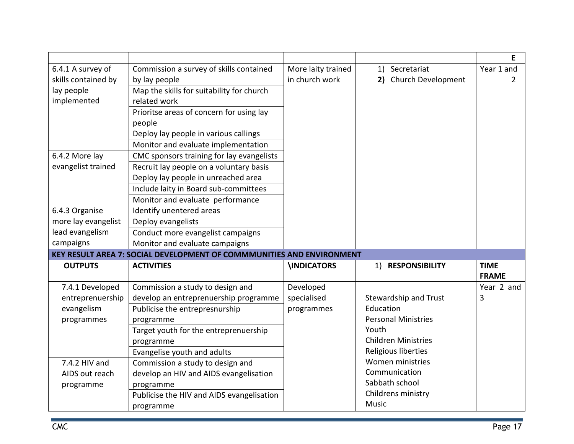|                     |                                                                       |                    |                            | Е            |
|---------------------|-----------------------------------------------------------------------|--------------------|----------------------------|--------------|
| 6.4.1 A survey of   | Commission a survey of skills contained                               | More laity trained | Secretariat<br>1)          | Year 1 and   |
| skills contained by | by lay people                                                         | in church work     | 2) Church Development      | 2            |
| lay people          | Map the skills for suitability for church                             |                    |                            |              |
| implemented         | related work                                                          |                    |                            |              |
|                     | Prioritse areas of concern for using lay                              |                    |                            |              |
|                     | people                                                                |                    |                            |              |
|                     | Deploy lay people in various callings                                 |                    |                            |              |
|                     | Monitor and evaluate implementation                                   |                    |                            |              |
| 6.4.2 More lay      | CMC sponsors training for lay evangelists                             |                    |                            |              |
| evangelist trained  | Recruit lay people on a voluntary basis                               |                    |                            |              |
|                     | Deploy lay people in unreached area                                   |                    |                            |              |
|                     | Include laity in Board sub-committees                                 |                    |                            |              |
|                     | Monitor and evaluate performance                                      |                    |                            |              |
| 6.4.3 Organise      | Identify unentered areas                                              |                    |                            |              |
| more lay evangelist | Deploy evangelists                                                    |                    |                            |              |
| lead evangelism     | Conduct more evangelist campaigns                                     |                    |                            |              |
| campaigns           | Monitor and evaluate campaigns                                        |                    |                            |              |
|                     | KEY RESULT AREA 7: SOCIAL DEVELOPMENT OF COMMMUNITIES AND ENVIRONMENT |                    |                            |              |
| <b>OUTPUTS</b>      | <b>ACTIVITIES</b>                                                     | <b>INDICATORS</b>  | 1) RESPONSIBILITY          | <b>TIME</b>  |
|                     |                                                                       |                    |                            | <b>FRAME</b> |
| 7.4.1 Developed     | Commission a study to design and                                      | Developed          |                            | Year 2 and   |
| entreprenuership    | develop an entreprenuership programme                                 | specialised        | Stewardship and Trust      | 3            |
| evangelism          | Publicise the entrepresnurship                                        | programmes         | Education                  |              |
| programmes          | programme                                                             |                    | <b>Personal Ministries</b> |              |
|                     | Target youth for the entreprenuership                                 |                    | Youth                      |              |
|                     | programme                                                             |                    | <b>Children Ministries</b> |              |
|                     | Evangelise youth and adults                                           |                    | Religious liberties        |              |
| 7.4.2 HIV and       | Commission a study to design and                                      |                    | Women ministries           |              |
| AIDS out reach      | develop an HIV and AIDS evangelisation                                |                    | Communication              |              |
| programme           | programme                                                             |                    | Sabbath school             |              |
|                     | Publicise the HIV and AIDS evangelisation                             |                    | Childrens ministry         |              |
|                     | programme                                                             |                    | Music                      |              |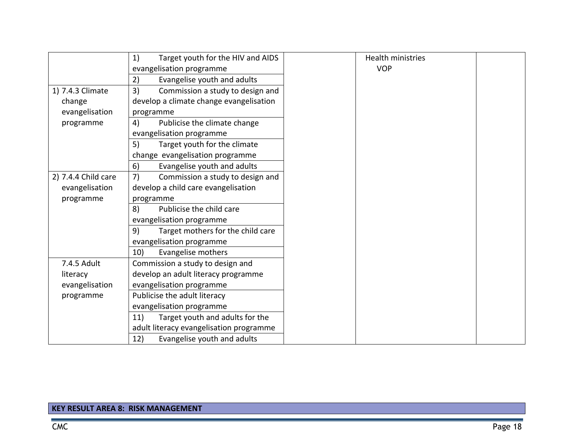|                     | Target youth for the HIV and AIDS<br>1) |
|---------------------|-----------------------------------------|
|                     | evangelisation programme                |
|                     | Evangelise youth and adults<br>2)       |
| 1) 7.4.3 Climate    | 3)<br>Commission a study to design and  |
| change              | develop a climate change evangelisation |
| evangelisation      | programme                               |
| programme           | 4)<br>Publicise the climate change      |
|                     | evangelisation programme                |
|                     | Target youth for the climate<br>5)      |
|                     | change evangelisation programme         |
|                     | Evangelise youth and adults<br>6)       |
| 2) 7.4.4 Child care | 7)<br>Commission a study to design and  |
| evangelisation      | develop a child care evangelisation     |
| programme           | programme                               |
|                     | 8)<br>Publicise the child care          |
|                     | evangelisation programme                |
|                     | Target mothers for the child care<br>9) |
|                     | evangelisation programme                |
|                     | Evangelise mothers<br>10)               |
| 7.4.5 Adult         | Commission a study to design and        |
| literacy            | develop an adult literacy programme     |
| evangelisation      | evangelisation programme                |
| programme           | Publicise the adult literacy            |
|                     | evangelisation programme                |
|                     | Target youth and adults for the<br>11)  |
|                     | adult literacy evangelisation programme |
|                     | Evangelise youth and adults<br>12)      |

# **KEY RESULT AREA 8: RISK MANAGEMENT**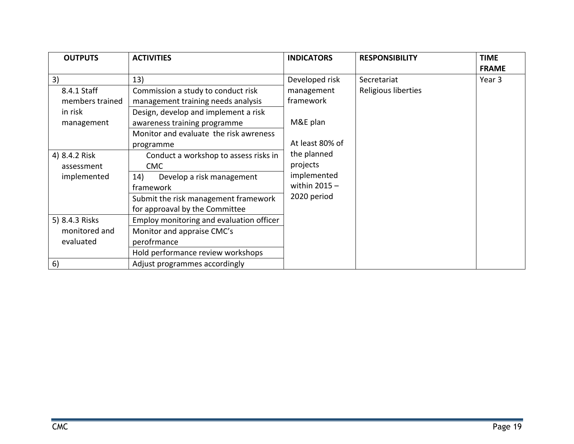| <b>OUTPUTS</b>  | <b>ACTIVITIES</b>                        | <b>INDICATORS</b> | <b>RESPONSIBILITY</b> | <b>TIME</b>  |
|-----------------|------------------------------------------|-------------------|-----------------------|--------------|
|                 |                                          |                   |                       | <b>FRAME</b> |
| 3)              | 13)                                      | Developed risk    | Secretariat           | Year 3       |
| 8.4.1 Staff     | Commission a study to conduct risk       | management        | Religious liberties   |              |
| members trained | management training needs analysis       | framework         |                       |              |
| in risk         | Design, develop and implement a risk     |                   |                       |              |
| management      | awareness training programme             | M&E plan          |                       |              |
|                 | Monitor and evaluate the risk awreness   |                   |                       |              |
|                 | programme                                | At least 80% of   |                       |              |
| 4) 8.4.2 Risk   | Conduct a workshop to assess risks in    | the planned       |                       |              |
| assessment      | <b>CMC</b>                               | projects          |                       |              |
| implemented     | Develop a risk management<br>14)         | implemented       |                       |              |
|                 | framework                                | within $2015 -$   |                       |              |
|                 | Submit the risk management framework     | 2020 period       |                       |              |
|                 | for approaval by the Committee           |                   |                       |              |
| 5) 8.4.3 Risks  | Employ monitoring and evaluation officer |                   |                       |              |
| monitored and   | Monitor and appraise CMC's               |                   |                       |              |
| evaluated       | perofrmance                              |                   |                       |              |
|                 | Hold performance review workshops        |                   |                       |              |
| 6)              | Adjust programmes accordingly            |                   |                       |              |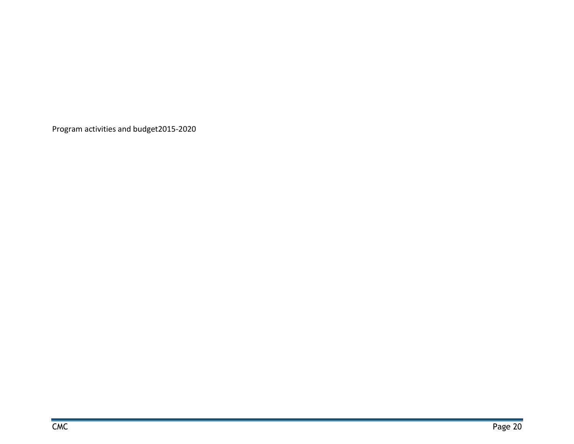<span id="page-36-0"></span>Program activities and budget2015-2020